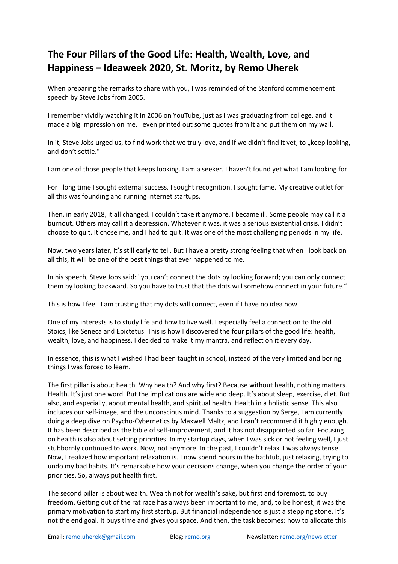## **The Four Pillars of the Good Life: Health, Wealth, Love, and Happiness – Ideaweek 2020, St. Moritz, by Remo Uherek**

When preparing the remarks to share with you, I was reminded of the Stanford commencement speech by Steve Jobs from 2005.

I remember vividly watching it in 2006 on YouTube, just as I was graduating from college, and it made a big impression on me. I even printed out some quotes from it and put them on my wall.

In it, Steve Jobs urged us, to find work that we truly love, and if we didn't find it yet, to "keep looking, and don't settle."

I am one of those people that keeps looking. I am a seeker. I haven't found yet what I am looking for.

For I long time I sought external success. I sought recognition. I sought fame. My creative outlet for all this was founding and running internet startups.

Then, in early 2018, it all changed. I couldn't take it anymore. I became ill. Some people may call it a burnout. Others may call it a depression. Whatever it was, it was a serious existential crisis. I didn't choose to quit. It chose me, and I had to quit. It was one of the most challenging periods in my life.

Now, two years later, it's still early to tell. But I have a pretty strong feeling that when I look back on all this, it will be one of the best things that ever happened to me.

In his speech, Steve Jobs said: "you can't connect the dots by looking forward; you can only connect them by looking backward. So you have to trust that the dots will somehow connect in your future."

This is how I feel. I am trusting that my dots will connect, even if I have no idea how.

One of my interests is to study life and how to live well. I especially feel a connection to the old Stoics, like Seneca and Epictetus. This is how I discovered the four pillars of the good life: health, wealth, love, and happiness. I decided to make it my mantra, and reflect on it every day.

In essence, this is what I wished I had been taught in school, instead of the very limited and boring things I was forced to learn.

The first pillar is about health. Why health? And why first? Because without health, nothing matters. Health. It's just one word. But the implications are wide and deep. It's about sleep, exercise, diet. But also, and especially, about mental health, and spiritual health. Health in a holistic sense. This also includes our self-image, and the unconscious mind. Thanks to a suggestion by Serge, I am currently doing a deep dive on Psycho-Cybernetics by Maxwell Maltz, and I can't recommend it highly enough. It has been described as the bible of self-improvement, and it has not disappointed so far. Focusing on health is also about setting priorities. In my startup days, when I was sick or not feeling well, I just stubbornly continued to work. Now, not anymore. In the past, I couldn't relax. I was always tense. Now, I realized how important relaxation is. I now spend hours in the bathtub, just relaxing, trying to undo my bad habits. It's remarkable how your decisions change, when you change the order of your priorities. So, always put health first.

The second pillar is about wealth. Wealth not for wealth's sake, but first and foremost, to buy freedom. Getting out of the rat race has always been important to me, and, to be honest, it was the primary motivation to start my first startup. But financial independence is just a stepping stone. It's not the end goal. It buys time and gives you space. And then, the task becomes: how to allocate this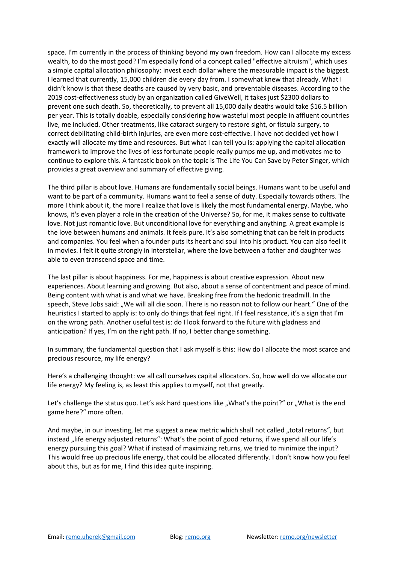space. I'm currently in the process of thinking beyond my own freedom. How can I allocate my excess wealth, to do the most good? I'm especially fond of a concept called "effective altruism", which uses a simple capital allocation philosophy: invest each dollar where the measurable impact is the biggest. I learned that currently, 15,000 children die every day from. I somewhat knew that already. What I didn't know is that these deaths are caused by very basic, and preventable diseases. According to the 2019 cost-effectiveness study by an organization called GiveWell, it takes just \$2300 dollars to prevent one such death. So, theoretically, to prevent all 15,000 daily deaths would take \$16.5 billion per year. This is totally doable, especially considering how wasteful most people in affluent countries live, me included. Other treatments, like cataract surgery to restore sight, or fistula surgery, to correct debilitating child-birth injuries, are even more cost-effective. I have not decided yet how I exactly will allocate my time and resources. But what I can tell you is: applying the capital allocation framework to improve the lives of less fortunate people really pumps me up, and motivates me to continue to explore this. A fantastic book on the topic is The Life You Can Save by Peter Singer, which provides a great overview and summary of effective giving.

The third pillar is about love. Humans are fundamentally social beings. Humans want to be useful and want to be part of a community. Humans want to feel a sense of duty. Especially towards others. The more I think about it, the more I realize that love is likely the most fundamental energy. Maybe, who knows, it's even player a role in the creation of the Universe? So, for me, it makes sense to cultivate love. Not just romantic love. But unconditional love for everything and anything. A great example is the love between humans and animals. It feels pure. It's also something that can be felt in products and companies. You feel when a founder puts its heart and soul into his product. You can also feel it in movies. I felt it quite strongly in Interstellar, where the love between a father and daughter was able to even transcend space and time.

The last pillar is about happiness. For me, happiness is about creative expression. About new experiences. About learning and growing. But also, about a sense of contentment and peace of mind. Being content with what is and what we have. Breaking free from the hedonic treadmill. In the speech, Steve Jobs said: "We will all die soon. There is no reason not to follow our heart." One of the heuristics I started to apply is: to only do things that feel right. If I feel resistance, it's a sign that I'm on the wrong path. Another useful test is: do I look forward to the future with gladness and anticipation? If yes, I'm on the right path. If no, I better change something.

In summary, the fundamental question that I ask myself is this: How do I allocate the most scarce and precious resource, my life energy?

Here's a challenging thought: we all call ourselves capital allocators. So, how well do we allocate our life energy? My feeling is, as least this applies to myself, not that greatly.

Let's challenge the status quo. Let's ask hard questions like "What's the point?" or "What is the end game here?" more often.

And maybe, in our investing, let me suggest a new metric which shall not called "total returns", but instead "life energy adjusted returns": What's the point of good returns, if we spend all our life's energy pursuing this goal? What if instead of maximizing returns, we tried to minimize the input? This would free up precious life energy, that could be allocated differently. I don't know how you feel about this, but as for me, I find this idea quite inspiring.